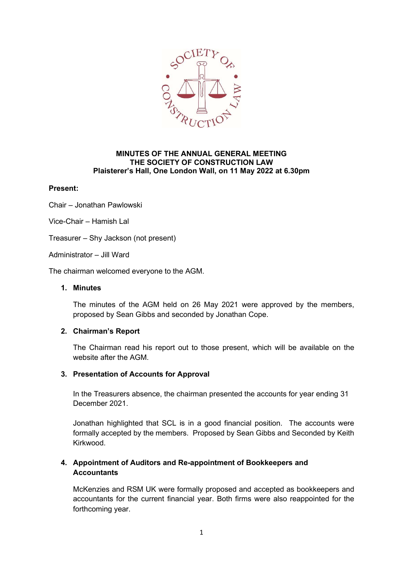

### MINUTES OF THE ANNUAL GENERAL MEETING THE SOCIETY OF CONSTRUCTION LAW Plaisterer's Hall, One London Wall, on 11 May 2022 at 6.30pm

# Present:

Chair – Jonathan Pawlowski

Vice-Chair – Hamish Lal

Treasurer – Shy Jackson (not present)

Administrator – Jill Ward

The chairman welcomed everyone to the AGM.

### 1. Minutes

The minutes of the AGM held on 26 May 2021 were approved by the members, proposed by Sean Gibbs and seconded by Jonathan Cope.

# 2. Chairman's Report

The Chairman read his report out to those present, which will be available on the website after the AGM.

# 3. Presentation of Accounts for Approval

In the Treasurers absence, the chairman presented the accounts for year ending 31 December 2021.

Jonathan highlighted that SCL is in a good financial position. The accounts were formally accepted by the members. Proposed by Sean Gibbs and Seconded by Keith Kirkwood.

# 4. Appointment of Auditors and Re-appointment of Bookkeepers and **Accountants**

McKenzies and RSM UK were formally proposed and accepted as bookkeepers and accountants for the current financial year. Both firms were also reappointed for the forthcoming year.